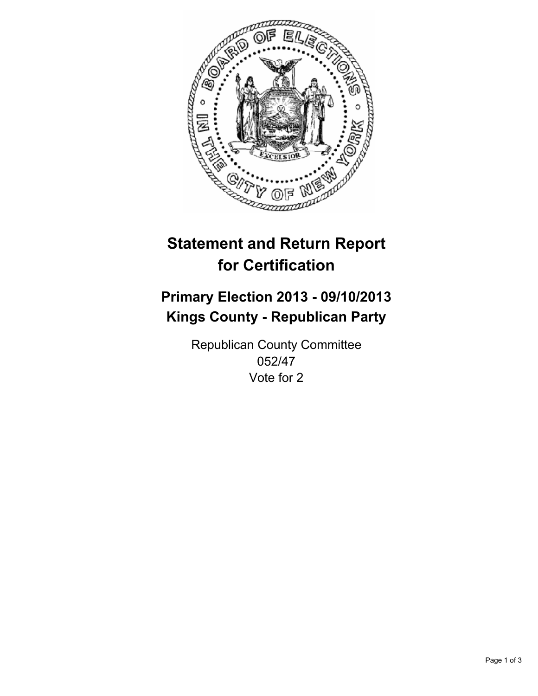

# **Statement and Return Report for Certification**

# **Primary Election 2013 - 09/10/2013 Kings County - Republican Party**

Republican County Committee 052/47 Vote for 2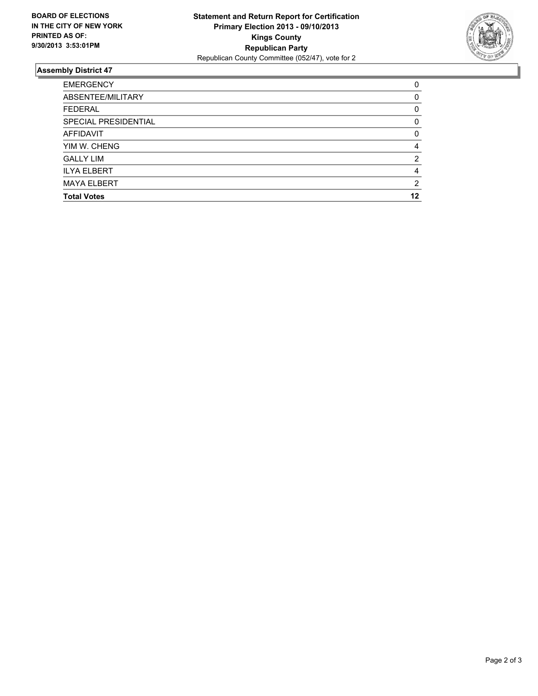

## **Assembly District 47**

| 0        |
|----------|
| $\Omega$ |
| 0        |
| $\Omega$ |
| 0        |
| 4        |
| 2        |
| 4        |
| 2        |
| 12       |
|          |